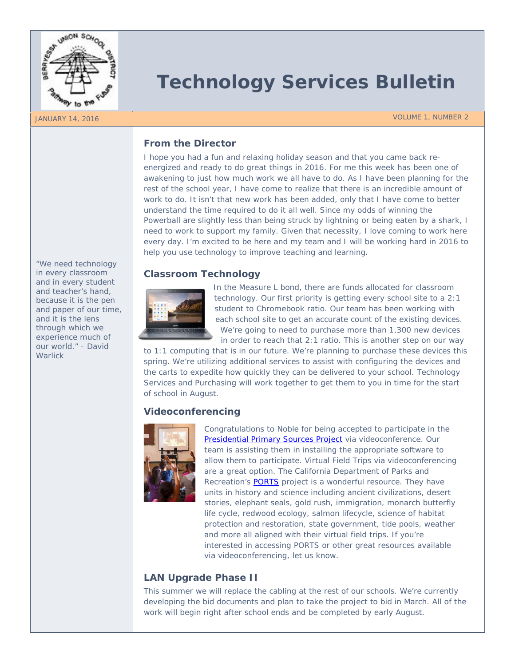

# **Technology Services Bulletin**

JANUARY 14, 2016 VOLUME 1, NUMBER 2

# **From the Director**

I hope you had a fun and relaxing holiday season and that you came back reenergized and ready to do great things in 2016. For me this week has been one of awakening to just how much work we all have to do. As I have been planning for the rest of the school year, I have come to realize that there is an incredible amount of work to do. It isn't that new work has been added, only that I have come to better understand the time required to do it all well. Since my odds of winning the Powerball are slightly less than being struck by lightning or being eaten by a shark, I need to work to support my family. Given that necessity, I love coming to work here every day. I'm excited to be here and my team and I will be working hard in 2016 to help you use technology to improve teaching and learning.

# **Classroom Technology**



In the Measure L bond, there are funds allocated for classroom technology. Our first priority is getting every school site to a 2:1 student to Chromebook ratio. Our team has been working with each school site to get an accurate count of the existing devices. We're going to need to purchase more than 1,300 new devices

in order to reach that 2:1 ratio. This is another step on our way to 1:1 computing that is in our future. We're planning to purchase these devices this

spring. We're utilizing additional services to assist with configuring the devices and the carts to expedite how quickly they can be delivered to your school. Technology Services and Purchasing will work together to get them to you in time for the start of school in August.

## **Videoconferencing**



Congratulations to Noble for being accepted to participate in the [Presidential Primary Sources Project](http://k20.internet2.edu/presidents) via videoconference. Our team is assisting them in installing the appropriate software to allow them to participate. Virtual Field Trips via videoconferencing are a great option. The California Department of Parks and Recreation's **PORTS** project is a wonderful resource. They have units in history and science including ancient civilizations, desert stories, elephant seals, gold rush, immigration, monarch butterfly life cycle, redwood ecology, salmon lifecycle, science of habitat protection and restoration, state government, tide pools, weather and more all aligned with their virtual field trips. If you're interested in accessing PORTS or other great resources available via videoconferencing, let us know.

# **LAN Upgrade Phase II**

This summer we will replace the cabling at the rest of our schools. We're currently developing the bid documents and plan to take the project to bid in March. All of the work will begin right after school ends and be completed by early August.

*"We need technology in every classroom and in every student and teacher's hand, because it is the pen and paper of our time, and it is the lens through which we experience much of our world." - David Warlick*